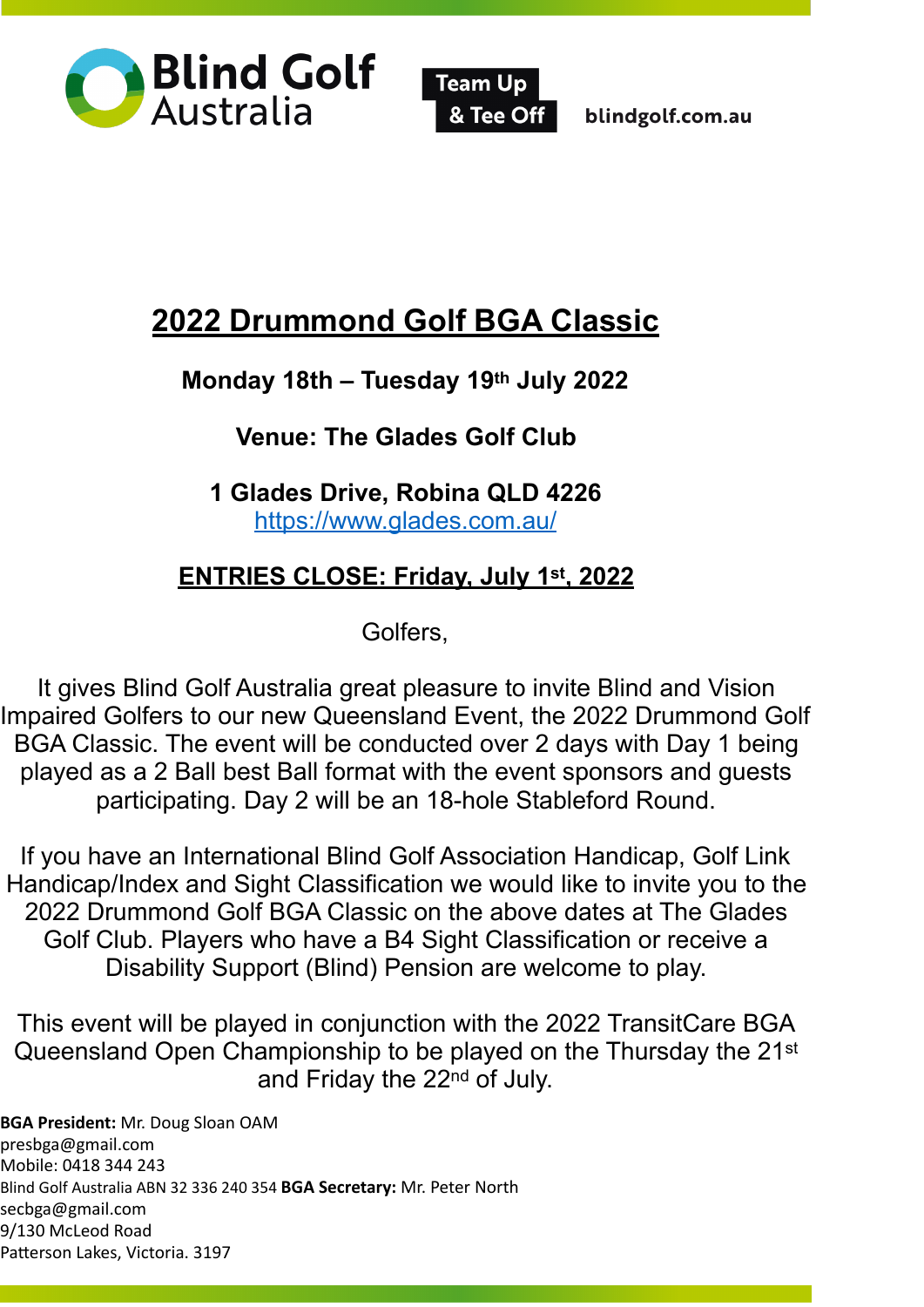



blindgolf.com.au

# **2022 Drummond Golf BGA Classic**

# **Monday 18th – Tuesday 19th July 2022**

# **Venue: The Glades Golf Club**

**1 Glades Drive, Robina QLD 4226**  [https://www.glades.com.au/](mailto:www.glades.com.au/) 

# **ENTRIES CLOSE: Friday, July 1st, 2022**

Golfers,

It gives Blind Golf Australia great pleasure to invite Blind and Vision Impaired Golfers to our new Queensland Event, the 2022 Drummond Golf BGA Classic. The event will be conducted over 2 days with Day 1 being played as a 2 Ball best Ball format with the event sponsors and guests participating. Day 2 will be an 18-hole Stableford Round.

If you have an International Blind Golf Association Handicap, Golf Link Handicap/Index and Sight Classification we would like to invite you to the 2022 Drummond Golf BGA Classic on the above dates at The Glades Golf Club. Players who have a B4 Sight Classification or receive a Disability Support (Blind) Pension are welcome to play.

This event will be played in conjunction with the 2022 TransitCare BGA Queensland Open Championship to be played on the Thursday the 21st and Friday the 22nd of July.

**BGA President:** Mr. Doug Sloan OAM [presbga@gmail.com](mailto:presbga@gmail.com)  Mobile: 0418 344 243 Blind Golf Australia ABN 32 336 240 354 **BGA Secretary:** Mr. Peter North [secbga@gmail.com](mailto:secbga@gmail.com) 9/130 McLeod Road Patterson Lakes, Victoria. 3197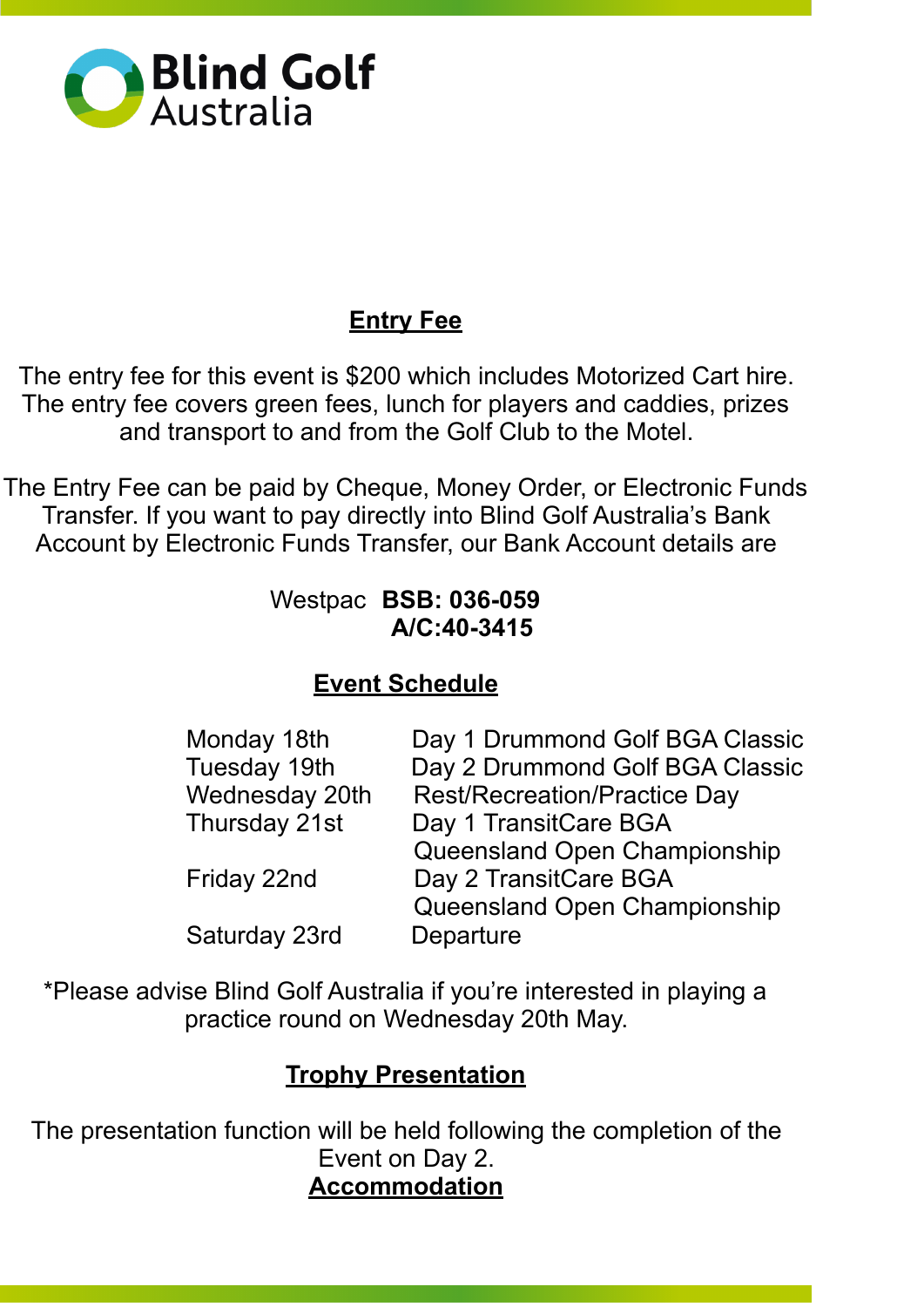

# **Entry Fee**

The entry fee for this event is \$200 which includes Motorized Cart hire. The entry fee covers green fees, lunch for players and caddies, prizes and transport to and from the Golf Club to the Motel.

The Entry Fee can be paid by Cheque, Money Order, or Electronic Funds Transfer. If you want to pay directly into Blind Golf Australia's Bank Account by Electronic Funds Transfer, our Bank Account details are

#### Westpac **BSB: 036-059 A/C:40-3415**

### **Event Schedule**

| Day 1 Drummond Golf BGA Classic     |
|-------------------------------------|
| Day 2 Drummond Golf BGA Classic     |
| <b>Rest/Recreation/Practice Day</b> |
| Day 1 TransitCare BGA               |
| Queensland Open Championship        |
| Day 2 TransitCare BGA               |
| Queensland Open Championship        |
| Departure                           |
|                                     |

\*Please advise Blind Golf Australia if you're interested in playing a practice round on Wednesday 20th May.

#### **Trophy Presentation**

The presentation function will be held following the completion of the Event on Day 2. **Accommodation**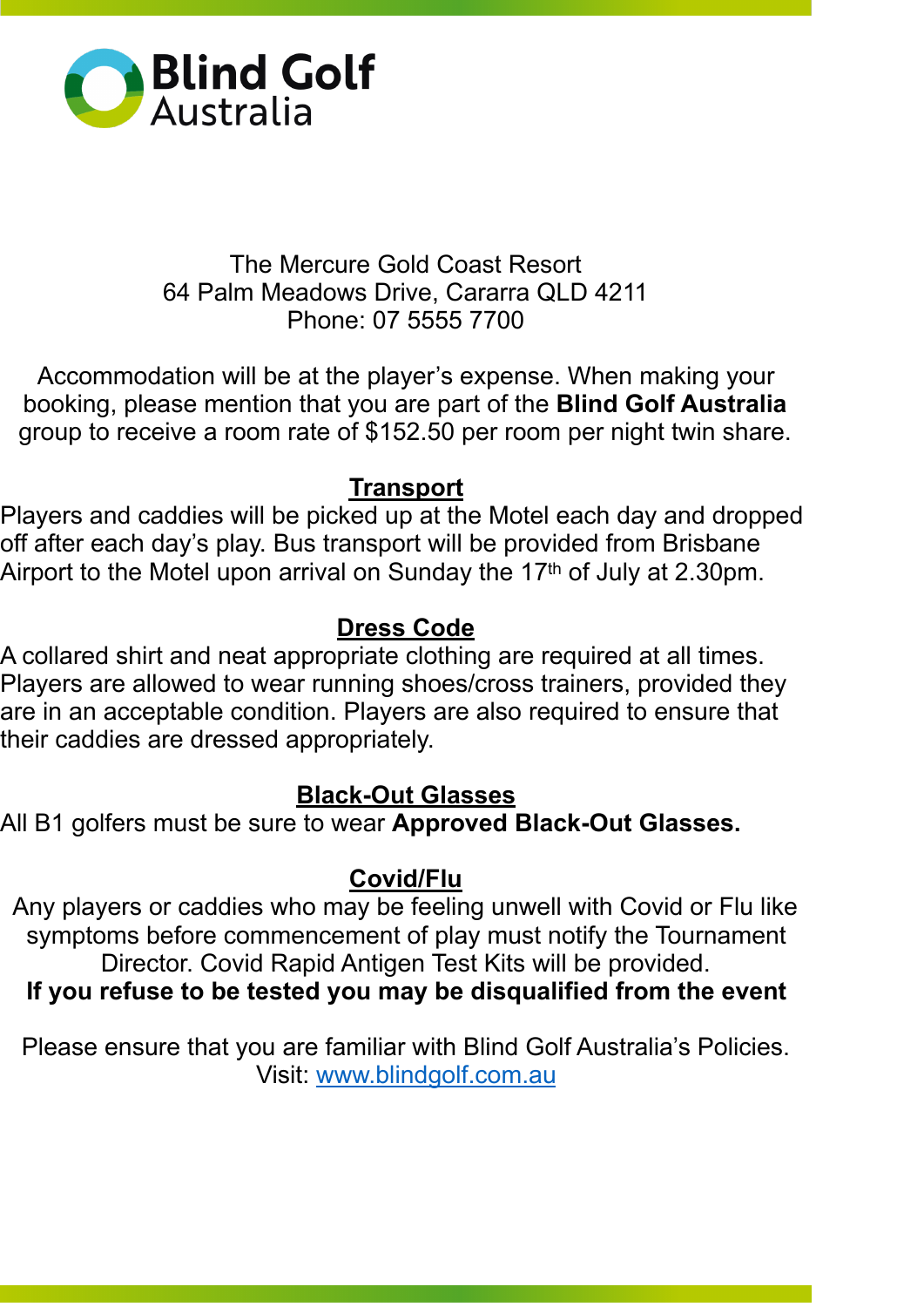

#### The Mercure Gold Coast Resort 64 Palm Meadows Drive, Cararra QLD 4211 Phone: 07 5555 7700

Accommodation will be at the player's expense. When making your booking, please mention that you are part of the **Blind Golf Australia**  group to receive a room rate of \$152.50 per room per night twin share.

### **Transport**

Players and caddies will be picked up at the Motel each day and dropped off after each day's play. Bus transport will be provided from Brisbane Airport to the Motel upon arrival on Sunday the 17th of July at 2.30pm.

# **Dress Code**

A collared shirt and neat appropriate clothing are required at all times. Players are allowed to wear running shoes/cross trainers, provided they are in an acceptable condition. Players are also required to ensure that their caddies are dressed appropriately.

### **Black-Out Glasses**

All B1 golfers must be sure to wear **Approved Black-Out Glasses.** 

### **Covid/Flu**

Any players or caddies who may be feeling unwell with Covid or Flu like symptoms before commencement of play must notify the Tournament Director. Covid Rapid Antigen Test Kits will be provided. **If you refuse to be tested you may be disqualified from the event** 

Please ensure that you are familiar with Blind Golf Australia's Policies. Visit: www.blindgolf.com.au